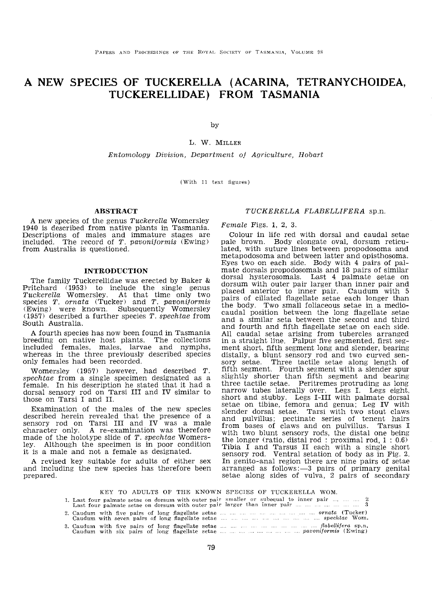# A NEW SPECIES OF TUCKERELLA (ACARINA, TETRANYCHOIDEA, TUCKERELLIDAE) FROM TASMANIA

by

L. W. MILLER

Entomology Division. Department of Agriculture, Hobart

 $(With 11 text figures)$ 

# **ABSTRACT**

A new species of the genus Tuckerella Womersley 1940 is described from native plants in Tasmania. Descriptions of males and immature stages are included. The record of T. pavonijormis (Ewing) from Australia is questioned.

## INTRODUCTION

The family Tuckerellidae was erected by Baker & Pritchard (1953) to include the single genus  $Tuckerella$  Womersley. At that time only two species T. ornata (Tucker) and T. pavoniformis (Ewing) were known. Subsequently Womersley  $(1957)$  described a further species T. spechtae from South Australia.

A fourth species has now been found in Tasmania breeding on native host plants. The collections included females, males, larvae and nymphs, whereas in the three previously described species only females had been recorded.

Womersley (1957) however, had described T.<br>spechtae from a single specimen designated as a female. In his description he stated that it had a dorsal sensory rod on Tarsi III and IV similar to those on Tarsi I and II.

Examination of the males of the new species described herein revealed that the presence of a sensory rod on Tarsi III and IV was a male character only. A re-examination was therefore made of the holotype slide of  $T.$  spechtae Womersley. Although the specimen is in poor condition it is a male and not a female as designated.

A revised key suitable for adults of either sex and inciuding the new species has therefore been prepared.

# *TUCKERELLA FLABELLlFERA* sp.n.

Female Figs. 1, 2, 3.

Colour in life red with dorsal and caudal setae pale brown. Body elongate oval, dorsum reticulated, with suture lines between propodosoma and rnetapodosoma and between latter and opisthosoma. Eyes two on each side. Body with 4 pairs of palmate dorsals propodosomals and 18 pairs of similar dorsal hysterosomals. Last 4 palmate setae on dorsum with outer pair larger than inner pair and placed anterior to inner pair. Caudum with 5 of ciliated flagellate setae each longer than the body. Two small foliaceous setae in a mediocaudal between tbe long fiagellate setae and a similar seta between the second and third and fourth and fifth flagellate setae on each side. All caudal setae arising from tubercles arranged in a straight line. Palpus five segmented, first segment short, fifth segment long and slender, bearing distally, a blunt sensory rod and two curved sensory setae. Three tactile setae along length of fifth segment. Fourth segment with a slender spur slightly shorter than flfth segment and bearing three tactile setae. Peritremes protruding as long narrow tubes laterally over. Legs I. Legs eight, short and stubby. Legs I-III with palmate dorsal setae on tibiae, femora and genua; Leg IV with slender dorsal setae. Tarsi with two stout claws and pulvillus; pectinate series of tenent hairs from bases of claws and on pulvillus. Tarsus I with two blunt sensory rods, the distal one being the longer (ratio, distal rod: proximal rod, 1 : 0.6) Tibia I and Tarsus II each with a single short sensory rod. Ventral setation of body as in Fig. 2. In genito-anal region there are nine pairs of setae arranged as follows: $-3$  pairs of primary genital setae along sides of vulva, 2 pairs of secondary

KEY TO ADULTS OF THE KNOWN SPECIES OF TUCKERELLA WOM. smaller or larger than  $\mathbf{3}$ long flagellate<br>long flagellate flabellifera sp.n. nagenate<br>flagellate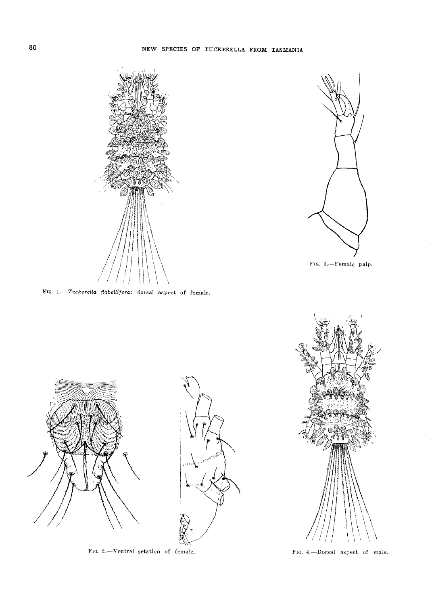



FIG. 3.-Female palp.

FIG. 1.-Tuckerella flabellifera: dorsal aspect of female.



FIG. 2.-Ventral setation of female.



FIG. 4.---Dorsal aspect of male.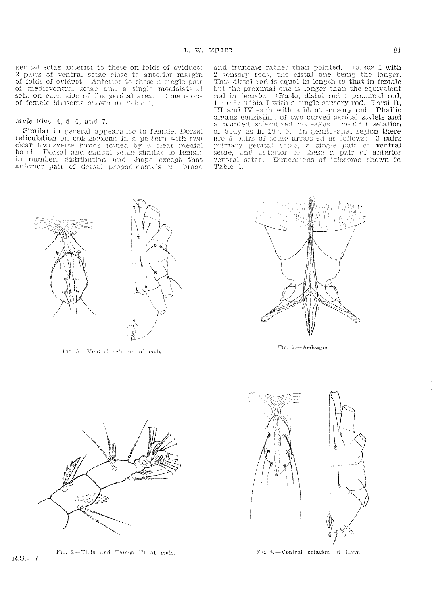Table 1.

genital setae anterior to these on folds of oviduct; 2 pairs of ventral setae close to anterior margin of folds of oviduct. Anterior to these a single pair of medioventral setae and a single mediolateral seta on each side of the genital area. Dimensions of female idiosoma shown in Table 1.

# Male Figs. 4, 5, 6, and 7.

Similar in general appearance to female. Dorsal reticulation on opisthosoma in a pattern with two clear transverse bands joined by a clear medial band. Dorsal and caudal setae similar to female in number, distribution and shape except that anterior pair of dorsal propodosomals are broad

Fig. 5.-Ventral setation of male.



and truncate rather than pointed. Tarsus I with

2 sensory rods, the distal one being the longer.

This distal rod is equal in length to that in female

but the proximal one is longer than the equivalent

rod in female. (Ratio, distal rod : proximal rod, 1: 0.8) Tibia I with a single sensory rod. Tarsi II,

III and IV each with a blunt sensory rod. Phallic organs consisting of two curved genital stylets and

a pointed sclerotized codeagus. Ventral setation<br>of body as in Fig. 5. In genito-anal region there

are 5 pairs of setae arranged as follows: -- 3 pairs primary genital setae, a single pair of ventral<br>setae, and arterior to these a pair of anterior

ventral setae. Dimensions of idiosoma shown in

FIG. 7.-Aedeagus.



FIG. 6.-Tibia and Tarsus III of male.



FIG. 8.-Ventral setation of larva.

 $R.S. - 7.$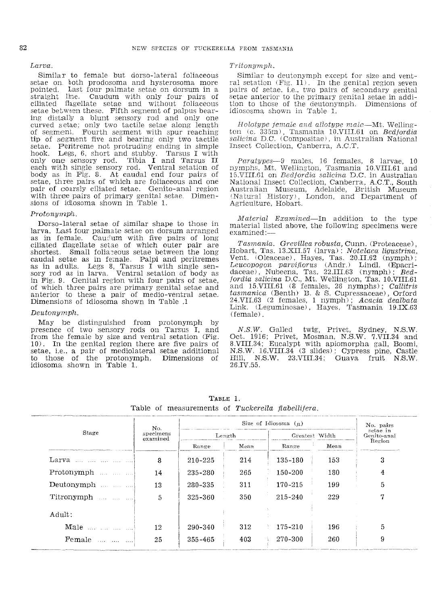#### Larva

Similar to female but dorso-lateral foliaceous setae on both prodosoma and hysterosoma more pointed. Last four palmate setae on dorsum in a straight line. Caudum with only four pairs of ciliated flagellate setae and without foliaceous setae between these. Fifth segnemt of palpus bearing distally a blunt sensory rod and only one curved setae; only two tactile setae along length of segment. Fourth segment with spur reaching tip of segment five and bearing only two tactile setae. Peritreme not protruding ending in simple hook. Legs, 6, short and stubby measure of the control of the measure of the measure of the measure of the measure of the measure of the measure of the measure of the measur only one sensory rod. Tibia I and Tarsus II<br>each with single sensory rod. Ventral setation of body as in Fig. 8. At caudal end four pairs of setae, three pairs of which are foliaceous and one pair of coarsly ciliated setae. Genito-anal region with three pairs of primary genital setae. Dimensions of idiosoma shown in Table 1.

## Protonymph.

Dorso-lateral setae of similar shape to those in larva. Last four palmate setae on dorsum arranged as in female. Caudum with five pairs of long ciliated flagellate setae of which outer pair are shortest. Small foliaceous setae between the long caudal setae as in female. Palpi and peritremes as in adults. Legs 8, Tarsus I with single sensory rod as in larva. Ventral setation of body as in Fig. 9. Genital region with four pairs of setae. of which three pairs are primary genital set and anterior to these a pair of medio-ventral setae. Dimensions of idiosoma shown in Table .1

#### $Deutonymph.$

May be distinguished from protonymph by presence of two sensory rods on Tarsus I, and from the female by size and ventral setation (Fig. 10). In the genital region there are five pairs of setae, i.e., a pair of mediolateral setae additional to those of the protonymph. Dimensions of<br>idiosoma shown in Table 1.

#### Tritonymph.

Similar to deutonymph except for size and ventral setation  $(Fig, 11)$ . In the genital region seven pairs of setae, i.e., two pairs of secondary genital setae anterior to the primary genital setae in addition to those of the deutonymph. Dimensions of<br>idiososma shown in Table 1.

Holotype female and allotype male—Mt. Wellington (c. 335m). Tasmania 10.VIII.61 on Bedtordia salieina D.C. (Compositae), in Australian National Insect Collection, Canberra, A.C.T.

*Paratypes*-9 males, 16 females, 8 larvae, 10 nymphs. Mt. Wellington. Tasmania 10.VIII.61 and 15.VIII.61 on Bedfordia salicina D.C. in Australian National Insect Collection, Canberra, A.C.T., South Australian Museum, Adelaide, British Museum (Natural History), London, and Department of Agriculture, Hobart.

*Material Examined*—In addition to the type material listed above, the following specimens were  $examined -$ 

Tasmania. Grevillea robusta, Cunn. (Proteaceae), Hobart, Tas. 13.XII.57 (larva): Notelaea ligustrina, Vent. (Oleaceae), Hayes, Tas. 20.II.62 (nymph); Ventorion parviflorus (Andr.) Lindl. (Epacri-<br>daceae), Nubeena, Tas. 22.III.63 (nymph); Bed-<br>fordia salicina D.C., Mt. Wellington, Tas. 10.VIII.61<br>and 15.VIII.61 (8 females, 26 nymphs); Callitris tasmanica (Benth) B. & S. Cupressaceae), Orford 24.VII.63 (2 females, 1 nymph); Acacia dealbata Link. (Leguminosae), Hayes, Tasmania 19.IX.63 (female).

N.S.W. Galled twig, Privet, Sydney, N.S.W. Oct. 1916; Privet, Mosman, N.S.W. 7.VII.34 and 8.VIII.34; Eucalypt with apiomorpha gall, Boomi, N.S.W. 16.VIII.34 (3 slides); Cypress pine, Castle Hill, N.S.W. 23.VIII.34; Guava fruit N.S.W. 26.IV.55.

| Stage                                    | No.<br>specimens<br>examined | Size of Idiosoma $(\mu)$ |      |                |      | No. pairs               |
|------------------------------------------|------------------------------|--------------------------|------|----------------|------|-------------------------|
|                                          |                              | Length                   |      | Greatest Width |      | setae in<br>Genito-anal |
|                                          |                              | Range                    | Mean | Range          | Mean | Region                  |
| Larva                                    | 8                            | $210 - 225$              | 214  | 135-180        | 153  | 3                       |
| Protonymph                               | 14                           | 235-280                  | 265  | 150-200        | 180  | 4                       |
| Deutonymph                               | 13                           | 280-335                  | 311  | 170-215        | 199  | 5                       |
| Titronymph                               | 5                            | 325-360                  | 350  | $215 - 240$    | 229  | 7                       |
| Adult:                                   |                              |                          |      |                |      |                         |
| Male $\ldots$ $\ldots$ $\ldots$ $\ldots$ | 12                           | 290-340                  | 312  | 175-210        | 196  | 5                       |
| <b>Female</b>                            | 25                           | 355-465                  | 403  | 270-300        | 260  | 9                       |

TABLE 1. Table of measurements of Tuckerella flabellitera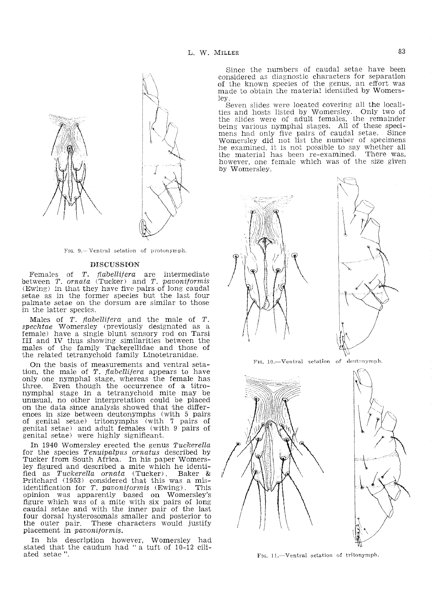

FIG. 9.-Ventral setation of protonymph.

## **DISCUSSION**

Females of T. flabellifera are intermediate between  $T$ ,  $\alpha$ rnata (Tucker) and  $T$ , pavonitormis (Ewing) in that they have five pairs of long caudal setae as in the former species but the last four palmate setae on the dorsum are similar to those in the latter species.

Males of  $T$ . *flabellifera* and the male of  $T$ . *spechtae* Womersley (previously designated as a female) have a single blunt sensory rod on Tarsi III and IV thus showing similarities between the males of the family Tuckerellidae and those of the related tetranychoid family Linotetranidae.

On the basis of measurements and ventral setation, the male of T. flabellifera appears to have only one nymphal stage, whereas the female has three. Even though the occurrence of a titronymphal stage in a tetranychoid mite may be unusual, no other interpretation could be placed on the data since analysis showed that the differences in size between deutonymphs (with 5 pairs of genital setae) tritonymphs (with 7 pairs of genital setae) and adult females (with 9 pairs of genital setae) were highly significant.

In 1940 Womersley erected the genus Tuckerella for the species Tenuipalpus ornatus described by Tucker from South Africa. In his paper Womersley figured and described a mite which he identified as Tuckerella ornata (Tucker). Baker &<br>Pritchard (1953) considered that this was a mis-<br>identification for T. pavoniformis (Ewing). This opinion was apparently based on Womersley's figure which was of a mite with six pairs of long caudal setae and with the inner pair of the last<br>four dorsal hysterosomals smaller and posterior to the outer pair. These characters would justify placement in *pavoniformis*.

In his description however, Womersley had stated that the caudum had "a tuft of 10-12 ciliated setae'

Since the numbers of caudal setae have been considered as diagnostic characters for separation of the known species of the genus, an effort was made to obtain the material identified by Womersley.

Seven slides were located covering all the localities and hosts listed by Womersley. Only two of the slides were of adult females, the remainder being various nymphal stages. All of these specimens had only five pairs of caudal setae. Since<br>Womersley did not list the number of specimens he examined, it is not possible to say whether all the material has been re-examined. There was. however, one female which was of the size given by Womersley.





FIG. 10.-Ventral setation of deutonymph.





FIG. 11.--Ventral setation of tritonymph.